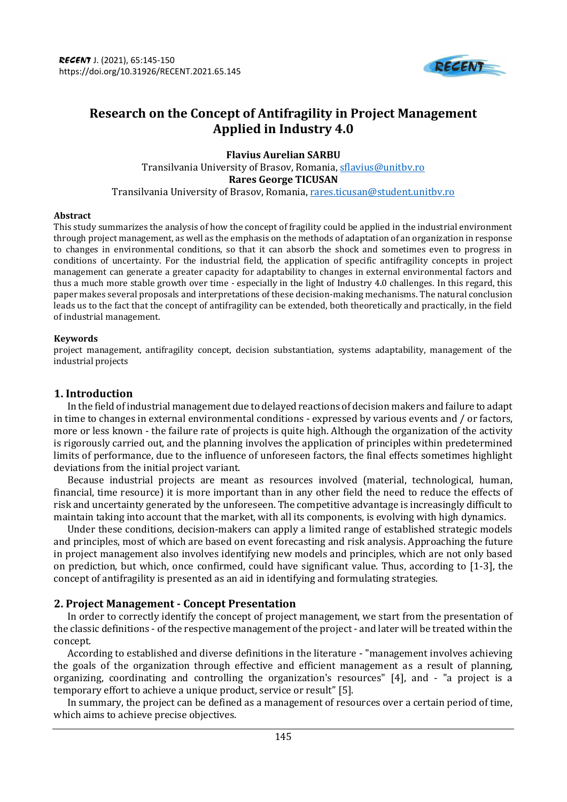

# **Research on the Concept of Antifragility in Project Management Applied in Industry 4.0**

**Flavius Aurelian SARBU** Transilvania University of Brasov, Romania, [sflavius@unitbv.ro](mailto:sflavius@unitbv.ro) **Rares George TICUSAN** Transilvania University of Brasov, Romania, rares.ticusan@student.unitbv.ro

#### **Abstract**

This study summarizes the analysis of how the concept of fragility could be applied in the industrial environment through project management, as well as the emphasis on the methods of adaptation of an organization in response to changes in environmental conditions, so that it can absorb the shock and sometimes even to progress in conditions of uncertainty. For the industrial field, the application of specific antifragility concepts in project management can generate a greater capacity for adaptability to changes in external environmental factors and thus a much more stable growth over time - especially in the light of Industry 4.0 challenges. In this regard, this paper makes several proposals and interpretations of these decision-making mechanisms. The natural conclusion leads us to the fact that the concept of antifragility can be extended, both theoretically and practically, in the field of industrial management.

#### **Keywords**

project management, antifragility concept, decision substantiation, systems adaptability, management of the industrial projects

### **1. Introduction**

In the field of industrial management due to delayed reactions of decision makers and failure to adapt in time to changes in external environmental conditions - expressed by various events and / or factors, more or less known - the failure rate of projects is quite high. Although the organization of the activity is rigorously carried out, and the planning involves the application of principles within predetermined limits of performance, due to the influence of unforeseen factors, the final effects sometimes highlight deviations from the initial project variant.

Because industrial projects are meant as resources involved (material, technological, human, financial, time resource) it is more important than in any other field the need to reduce the effects of risk and uncertainty generated by the unforeseen. The competitive advantage is increasingly difficult to maintain taking into account that the market, with all its components, is evolving with high dynamics.

Under these conditions, decision-makers can apply a limited range of established strategic models and principles, most of which are based on event forecasting and risk analysis. Approaching the future in project management also involves identifying new models and principles, which are not only based on prediction, but which, once confirmed, could have significant value. Thus, according to [1-3], the concept of antifragility is presented as an aid in identifying and formulating strategies.

# **2. Project Management - Concept Presentation**

In order to correctly identify the concept of project management, we start from the presentation of the classic definitions - of the respective management of the project - and later will be treated within the concept.

According to established and diverse definitions in the literature - "management involves achieving the goals of the organization through effective and efficient management as a result of planning, organizing, coordinating and controlling the organization's resources" [4], and - "a project is a temporary effort to achieve a unique product, service or result" [5].

In summary, the project can be defined as a management of resources over a certain period of time, which aims to achieve precise objectives.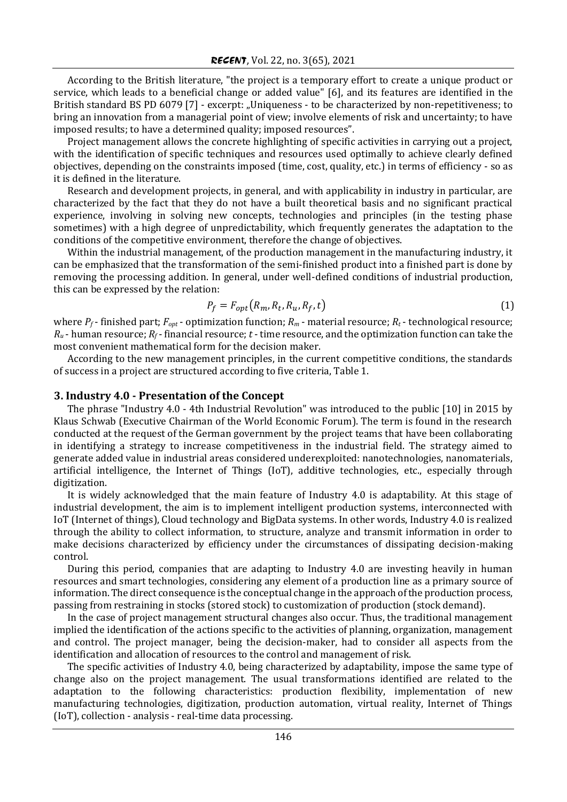According to the British literature, "the project is a temporary effort to create a unique product or service, which leads to a beneficial change or added value" [6], and its features are identified in the British standard BS PD 6079 [7] - excerpt: "Uniqueness - to be characterized by non-repetitiveness; to bring an innovation from a managerial point of view; involve elements of risk and uncertainty; to have imposed results; to have a determined quality; imposed resources".

Project management allows the concrete highlighting of specific activities in carrying out a project, with the identification of specific techniques and resources used optimally to achieve clearly defined objectives, depending on the constraints imposed (time, cost, quality, etc.) in terms of efficiency - so as it is defined in the literature.

Research and development projects, in general, and with applicability in industry in particular, are characterized by the fact that they do not have a built theoretical basis and no significant practical experience, involving in solving new concepts, technologies and principles (in the testing phase sometimes) with a high degree of unpredictability, which frequently generates the adaptation to the conditions of the competitive environment, therefore the change of objectives.

Within the industrial management, of the production management in the manufacturing industry, it can be emphasized that the transformation of the semi-finished product into a finished part is done by removing the processing addition. In general, under well-defined conditions of industrial production, this can be expressed by the relation:

$$
P_f = F_{opt}(R_m, R_t, R_u, R_f, t) \tag{1}
$$

where  $P_f$ -finished part;  $F_{opt}$ -optimization function;  $R_m$ -material resource;  $R_t$ -technological resource;  $R_u$  - human resource;  $R_f$ - financial resource;  $t$  - time resource, and the optimization function can take the most convenient mathematical form for the decision maker.

According to the new management principles, in the current competitive conditions, the standards of success in a project are structured according to five criteria, Table 1.

#### **3. Industry 4.0 - Presentation of the Concept**

The phrase "Industry 4.0 - 4th Industrial Revolution" was introduced to the public [10] in 2015 by Klaus Schwab (Executive Chairman of the World Economic Forum). The term is found in the research conducted at the request of the German government by the project teams that have been collaborating in identifying a strategy to increase competitiveness in the industrial field. The strategy aimed to generate added value in industrial areas considered underexploited: nanotechnologies, nanomaterials, artificial intelligence, the Internet of Things (IoT), additive technologies, etc., especially through digitization.

It is widely acknowledged that the main feature of Industry 4.0 is adaptability. At this stage of industrial development, the aim is to implement intelligent production systems, interconnected with IoT (Internet of things), Cloud technology and BigData systems. In other words, Industry 4.0 is realized through the ability to collect information, to structure, analyze and transmit information in order to make decisions characterized by efficiency under the circumstances of dissipating decision-making control.

During this period, companies that are adapting to Industry 4.0 are investing heavily in human resources and smart technologies, considering any element of a production line as a primary source of information. The direct consequence is the conceptual change in the approach of the production process, passing from restraining in stocks (stored stock) to customization of production (stock demand).

In the case of project management structural changes also occur. Thus, the traditional management implied the identification of the actions specific to the activities of planning, organization, management and control. The project manager, being the decision-maker, had to consider all aspects from the identification and allocation of resources to the control and management of risk.

The specific activities of Industry 4.0, being characterized by adaptability, impose the same type of change also on the project management. The usual transformations identified are related to the adaptation to the following characteristics: production flexibility, implementation of new manufacturing technologies, digitization, production automation, virtual reality, Internet of Things (IoT), collection - analysis - real-time data processing.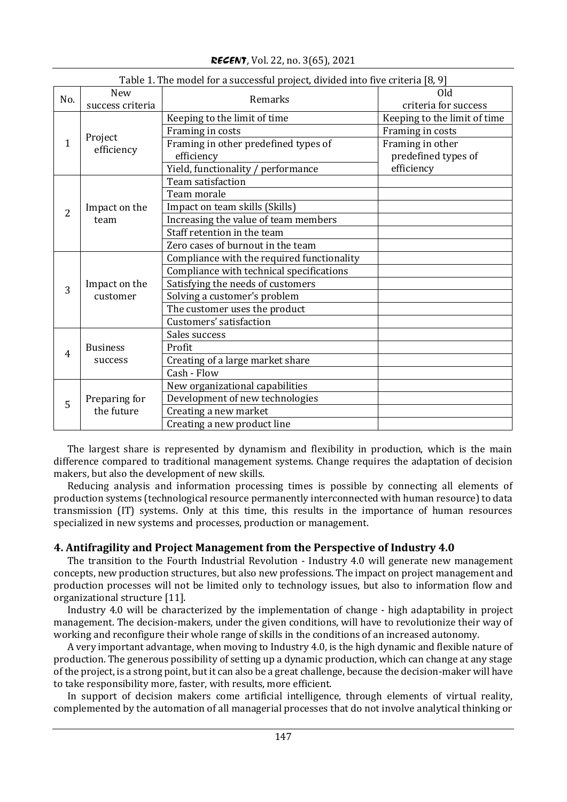| Table 1. The model for a successful project, divided into five criteria [8, 9] |                                |                                            |                              |  |  |  |  |
|--------------------------------------------------------------------------------|--------------------------------|--------------------------------------------|------------------------------|--|--|--|--|
| No.                                                                            | <b>New</b><br>success criteria | Remarks                                    | Old<br>criteria for success  |  |  |  |  |
| $\mathbf{1}$                                                                   | Project<br>efficiency          | Keeping to the limit of time               | Keeping to the limit of time |  |  |  |  |
|                                                                                |                                | Framing in costs                           | Framing in costs             |  |  |  |  |
|                                                                                |                                | Framing in other predefined types of       | Framing in other             |  |  |  |  |
|                                                                                |                                | efficiency                                 | predefined types of          |  |  |  |  |
|                                                                                |                                | Yield, functionality / performance         | efficiency                   |  |  |  |  |
| $\overline{2}$                                                                 | Impact on the<br>team          | Team satisfaction                          |                              |  |  |  |  |
|                                                                                |                                | Team morale                                |                              |  |  |  |  |
|                                                                                |                                | Impact on team skills (Skills)             |                              |  |  |  |  |
|                                                                                |                                | Increasing the value of team members       |                              |  |  |  |  |
|                                                                                |                                | Staff retention in the team                |                              |  |  |  |  |
|                                                                                |                                | Zero cases of burnout in the team          |                              |  |  |  |  |
| 3                                                                              | Impact on the<br>customer      | Compliance with the required functionality |                              |  |  |  |  |
|                                                                                |                                | Compliance with technical specifications   |                              |  |  |  |  |
|                                                                                |                                | Satisfying the needs of customers          |                              |  |  |  |  |
|                                                                                |                                | Solving a customer's problem               |                              |  |  |  |  |
|                                                                                |                                | The customer uses the product              |                              |  |  |  |  |
|                                                                                |                                | Customers' satisfaction                    |                              |  |  |  |  |
|                                                                                |                                | Sales success                              |                              |  |  |  |  |
| $\overline{4}$                                                                 | <b>Business</b>                | Profit                                     |                              |  |  |  |  |
|                                                                                | success                        | Creating of a large market share           |                              |  |  |  |  |
|                                                                                |                                | Cash - Flow                                |                              |  |  |  |  |
| 5                                                                              |                                | New organizational capabilities            |                              |  |  |  |  |
|                                                                                | Preparing for                  | Development of new technologies            |                              |  |  |  |  |
|                                                                                | the future                     | Creating a new market                      |                              |  |  |  |  |
|                                                                                |                                | Creating a new product line                |                              |  |  |  |  |

*RECENT*, Vol. 22, no. 3(65), 2021

The largest share is represented by dynamism and flexibility in production, which is the main difference compared to traditional management systems. Change requires the adaptation of decision makers, but also the development of new skills.

Reducing analysis and information processing times is possible by connecting all elements of production systems (technological resource permanently interconnected with human resource) to data transmission (IT) systems. Only at this time, this results in the importance of human resources specialized in new systems and processes, production or management.

# **4. Antifragility and Project Management from the Perspective of Industry 4.0**

The transition to the Fourth Industrial Revolution - Industry 4.0 will generate new management concepts, new production structures, but also new professions. The impact on project management and production processes will not be limited only to technology issues, but also to information flow and organizational structure [11].

Industry 4.0 will be characterized by the implementation of change - high adaptability in project management. The decision-makers, under the given conditions, will have to revolutionize their way of working and reconfigure their whole range of skills in the conditions of an increased autonomy.

A very important advantage, when moving to Industry 4.0, is the high dynamic and flexible nature of production. The generous possibility of setting up a dynamic production, which can change at any stage of the project, is a strong point, but it can also be a great challenge, because the decision-maker will have to take responsibility more, faster, with results, more efficient.

In support of decision makers come artificial intelligence, through elements of virtual reality, complemented by the automation of all managerial processes that do not involve analytical thinking or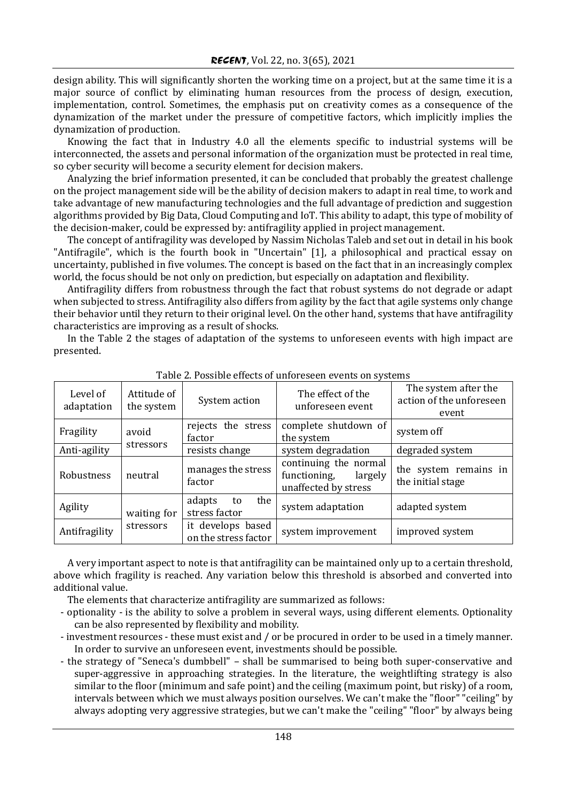design ability. This will significantly shorten the working time on a project, but at the same time it is a major source of conflict by eliminating human resources from the process of design, execution, implementation, control. Sometimes, the emphasis put on creativity comes as a consequence of the dynamization of the market under the pressure of competitive factors, which implicitly implies the dynamization of production.

Knowing the fact that in Industry 4.0 all the elements specific to industrial systems will be interconnected, the assets and personal information of the organization must be protected in real time, so cyber security will become a security element for decision makers.

Analyzing the brief information presented, it can be concluded that probably the greatest challenge on the project management side will be the ability of decision makers to adapt in real time, to work and take advantage of new manufacturing technologies and the full advantage of prediction and suggestion algorithms provided by Big Data, Cloud Computing and IoT. This ability to adapt, this type of mobility of the decision-maker, could be expressed by: antifragility applied in project management.

The concept of antifragility was developed by Nassim Nicholas Taleb and set out in detail in his book "Antifragile", which is the fourth book in "Uncertain" [1], a philosophical and practical essay on uncertainty, published in five volumes. The concept is based on the fact that in an increasingly complex world, the focus should be not only on prediction, but especially on adaptation and flexibility.

Antifragility differs from robustness through the fact that robust systems do not degrade or adapt when subjected to stress. Antifragility also differs from agility by the fact that agile systems only change their behavior until they return to their original level. On the other hand, systems that have antifragility characteristics are improving as a result of shocks.

In the Table 2 the stages of adaptation of the systems to unforeseen events with high impact are presented.

| Level of<br>adaptation | Attitude of<br>the system | System action                             | The effect of the<br>unforeseen event                                    | The system after the<br>action of the unforeseen<br>event |
|------------------------|---------------------------|-------------------------------------------|--------------------------------------------------------------------------|-----------------------------------------------------------|
| Fragility              | avoid                     | rejects the stress<br>factor              | complete shutdown of<br>the system                                       | system off                                                |
| Anti-agility           | stressors                 | resists change                            | system degradation                                                       | degraded system                                           |
| Robustness             | neutral                   | manages the stress<br>factor              | continuing the normal<br>functioning,<br>largely<br>unaffected by stress | the system remains in<br>the initial stage                |
| Agility                | waiting for               | adapts<br>the<br>to<br>stress factor      | system adaptation                                                        | adapted system                                            |
| Antifragility          | stressors                 | it develops based<br>on the stress factor | system improvement                                                       | improved system                                           |

Table 2. Possible effects of unforeseen events on systems

A very important aspect to note is that antifragility can be maintained only up to a certain threshold, above which fragility is reached. Any variation below this threshold is absorbed and converted into additional value.

The elements that characterize antifragility are summarized as follows:

- optionality - is the ability to solve a problem in several ways, using different elements. Optionality can be also represented by flexibility and mobility.

- investment resources these must exist and / or be procured in order to be used in a timely manner. In order to survive an unforeseen event, investments should be possible.
- the strategy of "Seneca's dumbbell" shall be summarised to being both super-conservative and super-aggressive in approaching strategies. In the literature, the weightlifting strategy is also similar to the floor (minimum and safe point) and the ceiling (maximum point, but risky) of a room, intervals between which we must always position ourselves. We can't make the "floor" "ceiling" by always adopting very aggressive strategies, but we can't make the "ceiling" "floor" by always being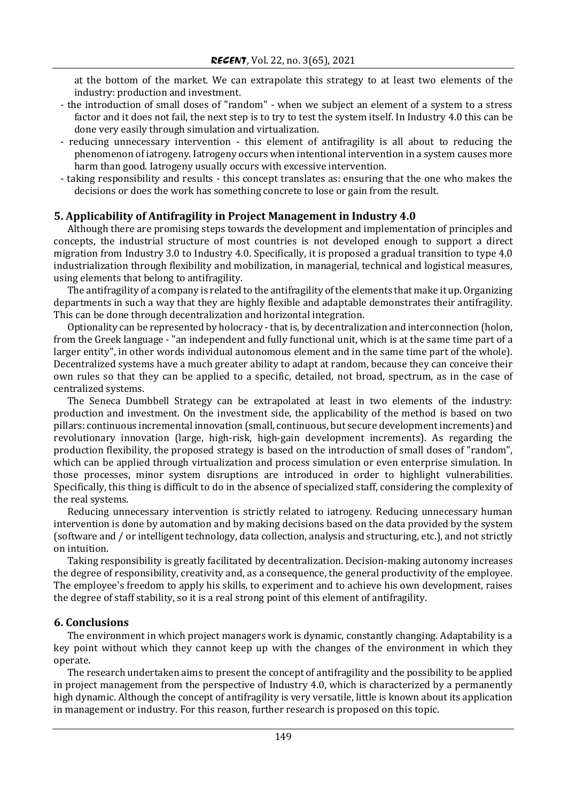at the bottom of the market. We can extrapolate this strategy to at least two elements of the industry: production and investment.

- the introduction of small doses of "random" when we subject an element of a system to a stress factor and it does not fail, the next step is to try to test the system itself. In Industry 4.0 this can be done very easily through simulation and virtualization.
- reducing unnecessary intervention this element of antifragility is all about to reducing the phenomenon of iatrogeny. Iatrogeny occurs when intentional intervention in a system causes more harm than good. Iatrogeny usually occurs with excessive intervention.
- taking responsibility and results this concept translates as: ensuring that the one who makes the decisions or does the work has something concrete to lose or gain from the result.

# **5. Applicability of Antifragility in Project Management in Industry 4.0**

Although there are promising steps towards the development and implementation of principles and concepts, the industrial structure of most countries is not developed enough to support a direct migration from Industry 3.0 to Industry 4.0. Specifically, it is proposed a gradual transition to type 4.0 industrialization through flexibility and mobilization, in managerial, technical and logistical measures, using elements that belong to antifragility.

The antifragility of a company is related to the antifragility of the elements that make it up. Organizing departments in such a way that they are highly flexible and adaptable demonstrates their antifragility. This can be done through decentralization and horizontal integration.

Optionality can be represented by holocracy - that is, by decentralization and interconnection (holon, from the Greek language - "an independent and fully functional unit, which is at the same time part of a larger entity", in other words individual autonomous element and in the same time part of the whole). Decentralized systems have a much greater ability to adapt at random, because they can conceive their own rules so that they can be applied to a specific, detailed, not broad, spectrum, as in the case of centralized systems.

The Seneca Dumbbell Strategy can be extrapolated at least in two elements of the industry: production and investment. On the investment side, the applicability of the method is based on two pillars: continuous incremental innovation (small, continuous, but secure development increments) and revolutionary innovation (large, high-risk, high-gain development increments). As regarding the production flexibility, the proposed strategy is based on the introduction of small doses of "random", which can be applied through virtualization and process simulation or even enterprise simulation. In those processes, minor system disruptions are introduced in order to highlight vulnerabilities. Specifically, this thing is difficult to do in the absence of specialized staff, considering the complexity of the real systems.

Reducing unnecessary intervention is strictly related to iatrogeny. Reducing unnecessary human intervention is done by automation and by making decisions based on the data provided by the system (software and / or intelligent technology, data collection, analysis and structuring, etc.), and not strictly on intuition.

Taking responsibility is greatly facilitated by decentralization. Decision-making autonomy increases the degree of responsibility, creativity and, as a consequence, the general productivity of the employee. The employee's freedom to apply his skills, to experiment and to achieve his own development, raises the degree of staff stability, so it is a real strong point of this element of antifragility.

#### **6. Conclusions**

The environment in which project managers work is dynamic, constantly changing. Adaptability is a key point without which they cannot keep up with the changes of the environment in which they operate.

The research undertaken aims to present the concept of antifragility and the possibility to be applied in project management from the perspective of Industry 4.0, which is characterized by a permanently high dynamic. Although the concept of antifragility is very versatile, little is known about its application in management or industry. For this reason, further research is proposed on this topic.